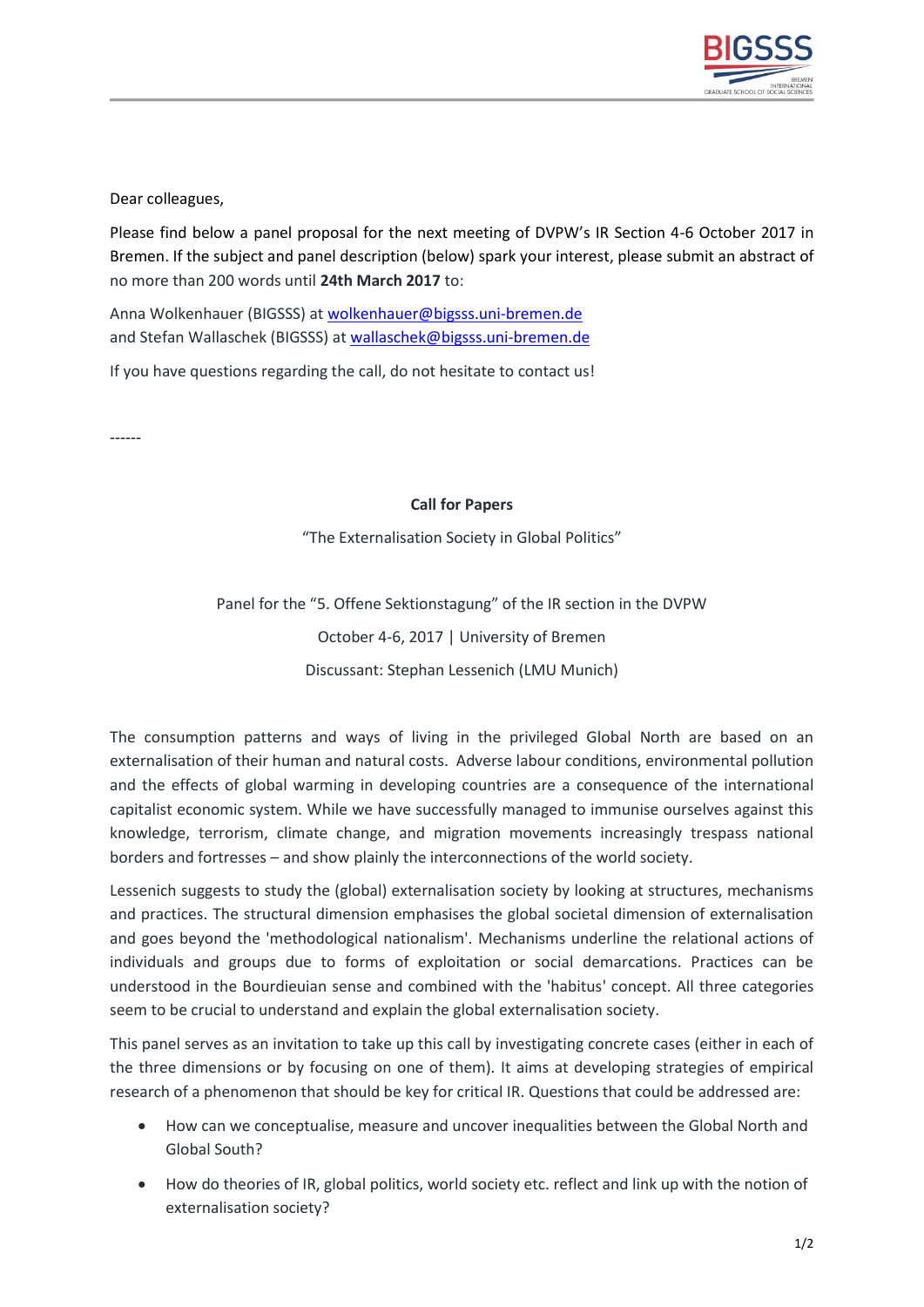

Dear colleagues,

Please find below a panel proposal for the next meeting of DVPW's IR Section 4-6 October 2017 in Bremen. If the subject and panel description (below) spark your interest, please submit an abstract of no more than 200 words until **24th March 2017** to:

Anna Wolkenhauer (BIGSSS) at [wolkenhauer@bigsss.uni-bremen.de](mailto:wolkenhauer@bigsss.uni-bremen.de) and Stefan Wallaschek (BIGSSS) at [wallaschek@bigsss.uni-bremen.de](mailto:wallaschek@bigsss.uni-bremen.de)

If you have questions regarding the call, do not hesitate to contact us!

------

## **Call for Papers**

"The Externalisation Society in Global Politics"

Panel for the "5. Offene Sektionstagung" of the IR section in the DVPW October 4-6, 2017 | University of Bremen Discussant: Stephan Lessenich (LMU Munich)

The consumption patterns and ways of living in the privileged Global North are based on an externalisation of their human and natural costs. Adverse labour conditions, environmental pollution and the effects of global warming in developing countries are a consequence of the international capitalist economic system. While we have successfully managed to immunise ourselves against this knowledge, terrorism, climate change, and migration movements increasingly trespass national borders and fortresses – and show plainly the interconnections of the world society.

Lessenich suggests to study the (global) externalisation society by looking at structures, mechanisms and practices. The structural dimension emphasises the global societal dimension of externalisation and goes beyond the 'methodological nationalism'. Mechanisms underline the relational actions of individuals and groups due to forms of exploitation or social demarcations. Practices can be understood in the Bourdieuian sense and combined with the 'habitus' concept. All three categories seem to be crucial to understand and explain the global externalisation society.

This panel serves as an invitation to take up this call by investigating concrete cases (either in each of the three dimensions or by focusing on one of them). It aims at developing strategies of empirical research of a phenomenon that should be key for critical IR. Questions that could be addressed are:

- How can we conceptualise, measure and uncover inequalities between the Global North and Global South?
- How do theories of IR, global politics, world society etc. reflect and link up with the notion of externalisation society?